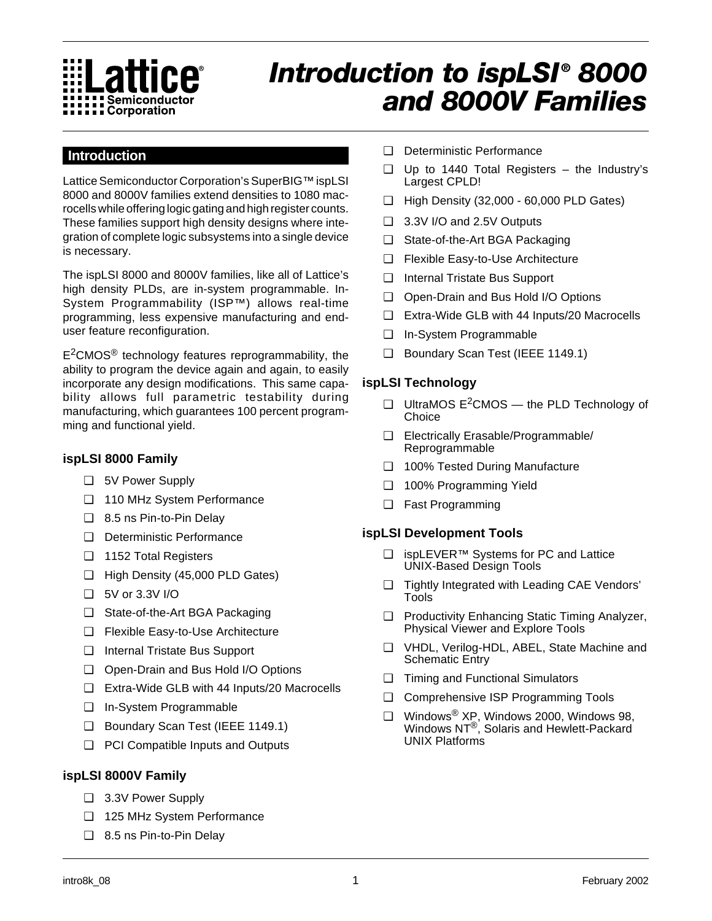

# *Introduction to ispLSI ® 8000 and 8000V Families*

## **Introduction**

Lattice Semiconductor Corporation's SuperBIG™ ispLSI 8000 and 8000V families extend densities to 1080 macrocells while offering logic gating and high register counts. These families support high density designs where integration of complete logic subsystems into a single device is necessary.

The ispLSI 8000 and 8000V families, like all of Lattice's high density PLDs, are in-system programmable. In-System Programmability (ISP™) allows real-time programming, less expensive manufacturing and enduser feature reconfiguration.

 $E<sup>2</sup>CMOS<sup>®</sup>$  technology features reprogrammability, the ability to program the device again and again, to easily incorporate any design modifications. This same capability allows full parametric testability during manufacturing, which guarantees 100 percent programming and functional yield.

### **ispLSI 8000 Family**

- ❑ 5V Power Supply
- ❑ 110 MHz System Performance
- ❑ 8.5 ns Pin-to-Pin Delay
- ❑ Deterministic Performance
- ❑ 1152 Total Registers
- ❑ High Density (45,000 PLD Gates)
- ❑ 5V or 3.3V I/O
- ❑ State-of-the-Art BGA Packaging
- ❑ Flexible Easy-to-Use Architecture
- ❑ Internal Tristate Bus Support
- ❑ Open-Drain and Bus Hold I/O Options
- ❑ Extra-Wide GLB with 44 Inputs/20 Macrocells
- ❑ In-System Programmable
- ❑ Boundary Scan Test (IEEE 1149.1)
- ❑ PCI Compatible Inputs and Outputs

#### **ispLSI 8000V Family**

- ❑ 3.3V Power Supply
- ❑ 125 MHz System Performance
- ❑ 8.5 ns Pin-to-Pin Delay
- ❑ Deterministic Performance
- ❑ Up to 1440 Total Registers the Industry's Largest CPLD!
- ❑ High Density (32,000 60,000 PLD Gates)
- ❑ 3.3V I/O and 2.5V Outputs
- ❑ State-of-the-Art BGA Packaging
- ❑ Flexible Easy-to-Use Architecture
- ❑ Internal Tristate Bus Support
- ❑ Open-Drain and Bus Hold I/O Options
- ❑ Extra-Wide GLB with 44 Inputs/20 Macrocells
- ❑ In-System Programmable
- ❑ Boundary Scan Test (IEEE 1149.1)

#### **ispLSI Technology**

- ❑ UltraMOS E2CMOS the PLD Technology of **Choice**
- ❑ Electrically Erasable/Programmable/ Reprogrammable
- ❑ 100% Tested During Manufacture
- ❑ 100% Programming Yield
- ❑ Fast Programming

#### **ispLSI Development Tools**

- ❑ ispLEVER™ Systems for PC and Lattice UNIX-Based Design Tools
- ❑ Tightly Integrated with Leading CAE Vendors' Tools
- ❑ Productivity Enhancing Static Timing Analyzer, Physical Viewer and Explore Tools
- ❑ VHDL, Verilog-HDL, ABEL, State Machine and Schematic Entry
- ❑ Timing and Functional Simulators
- ❑ Comprehensive ISP Programming Tools
- ❑ Windows® XP, Windows 2000, Windows 98, Windows NT®, Solaris and Hewlett-Packard UNIX Platforms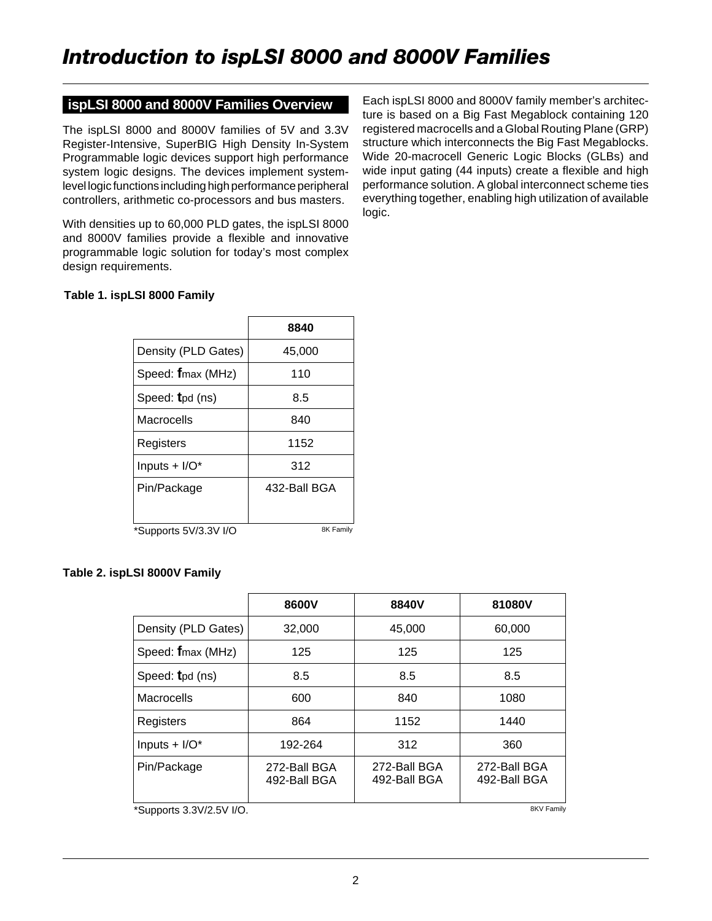### **ispLSI 8000 and 8000V Families Overview**

The ispLSI 8000 and 8000V families of 5V and 3.3V Register-Intensive, SuperBIG High Density In-System Programmable logic devices support high performance system logic designs. The devices implement systemlevel logic functions including high performance peripheral controllers, arithmetic co-processors and bus masters.

With densities up to 60,000 PLD gates, the ispLSI 8000 and 8000V families provide a flexible and innovative programmable logic solution for today's most complex design requirements.

Each ispLSI 8000 and 8000V family member's architecture is based on a Big Fast Megablock containing 120 registered macrocells and a Global Routing Plane (GRP) structure which interconnects the Big Fast Megablocks. Wide 20-macrocell Generic Logic Blocks (GLBs) and wide input gating (44 inputs) create a flexible and high performance solution. A global interconnect scheme ties everything together, enabling high utilization of available logic.

#### **Table 1. ispLSI 8000 Family**

|                             | 8840         |  |
|-----------------------------|--------------|--|
| Density (PLD Gates)         | 45,000       |  |
| Speed: fmax (MHz)           | 110          |  |
| Speed: tpd (ns)             | 8.5          |  |
| Macrocells                  | 840          |  |
| Registers                   | 1152         |  |
| Inputs $+$ I/O <sup>*</sup> | 312          |  |
| Pin/Package                 | 432-Ball BGA |  |
|                             |              |  |
| *Supports 5V/3.3V I/O       | 8K Family    |  |

#### **Table 2. ispLSI 8000V Family**

|                     | 8600V                        | 8840V                        | 81080V                       |
|---------------------|------------------------------|------------------------------|------------------------------|
| Density (PLD Gates) | 32,000                       | 45,000                       | 60,000                       |
| Speed: fmax (MHz)   | 125                          | 125                          | 125                          |
| Speed: tpd (ns)     | 8.5                          | 8.5                          | 8.5                          |
| Macrocells          | 600                          | 840                          | 1080                         |
| Registers           | 864                          | 1152                         | 1440                         |
| Inputs + $I/O^*$    | 192-264                      | 312                          | 360                          |
| Pin/Package         | 272-Ball BGA<br>492-Ball BGA | 272-Ball BGA<br>492-Ball BGA | 272-Ball BGA<br>492-Ball BGA |

\*Supports 3.3V/2.5V I/O.

8KV Family